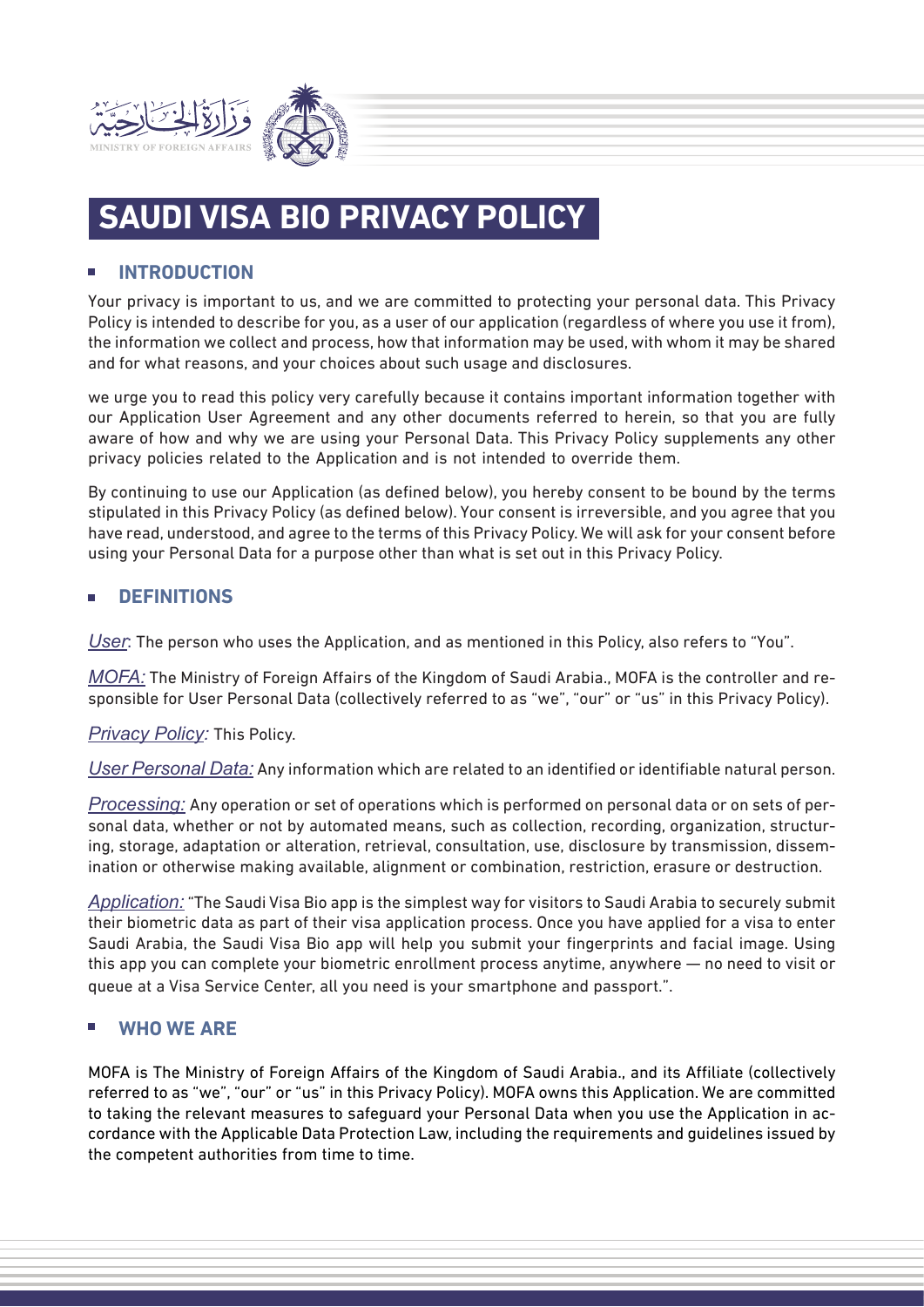

# **SAUDI VISA BIO PRIVACY POLICY**

# **INTRODUCTION**

Your privacy is important to us, and we are committed to protecting your personal data. This Privacy Policy is intended to describe for you, as a user of our application (regardless of where you use it from), the information we collect and process, how that information may be used, with whom it may be shared and for what reasons, and your choices about such usage and disclosures.

we urge you to read this policy very carefully because it contains important information together with our Application User Agreement and any other documents referred to herein, so that you are fully aware of how and why we are using your Personal Data. This Privacy Policy supplements any other privacy policies related to the Application and is not intended to override them.

By continuing to use our Application (as defined below), you hereby consent to be bound by the terms stipulated in this Privacy Policy (as defined below). Your consent is irreversible, and you agree that you have read, understood, and agree to the terms of this Privacy Policy. We will ask for your consent before using your Personal Data for a purpose other than what is set out in this Privacy Policy.

# **DEFINITIONS**

*User*: The person who uses the Application, and as mentioned in this Policy, also refers to "You".

*MOFA:* The Ministry of Foreign Affairs of the Kingdom of Saudi Arabia., MOFA is the controller and responsible for User Personal Data (collectively referred to as "we", "our" or "us" in this Privacy Policy).

*Privacy Policy:* This Policy.

*User Personal Data:* Any information which are related to an identified or identifiable natural person.

*Processing:* Any operation or set of operations which is performed on personal data or on sets of personal data, whether or not by automated means, such as collection, recording, organization, structuring, storage, adaptation or alteration, retrieval, consultation, use, disclosure by transmission, dissemination or otherwise making available, alignment or combination, restriction, erasure or destruction.

*Application:* "The Saudi Visa Bio app is the simplest way for visitors to Saudi Arabia to securely submit their biometric data as part of their visa application process. Once you have applied for a visa to enter Saudi Arabia, the Saudi Visa Bio app will help you submit your fingerprints and facial image. Using this app you can complete your biometric enrollment process anytime, anywhere — no need to visit or queue at a Visa Service Center, all you need is your smartphone and passport.".

# **WHO WE ARE**

MOFA is The Ministry of Foreign Affairs of the Kingdom of Saudi Arabia., and its Affiliate (collectively referred to as "we", "our" or "us" in this Privacy Policy). MOFA owns this Application. We are committed to taking the relevant measures to safeguard your Personal Data when you use the Application in accordance with the Applicable Data Protection Law, including the requirements and guidelines issued by the competent authorities from time to time.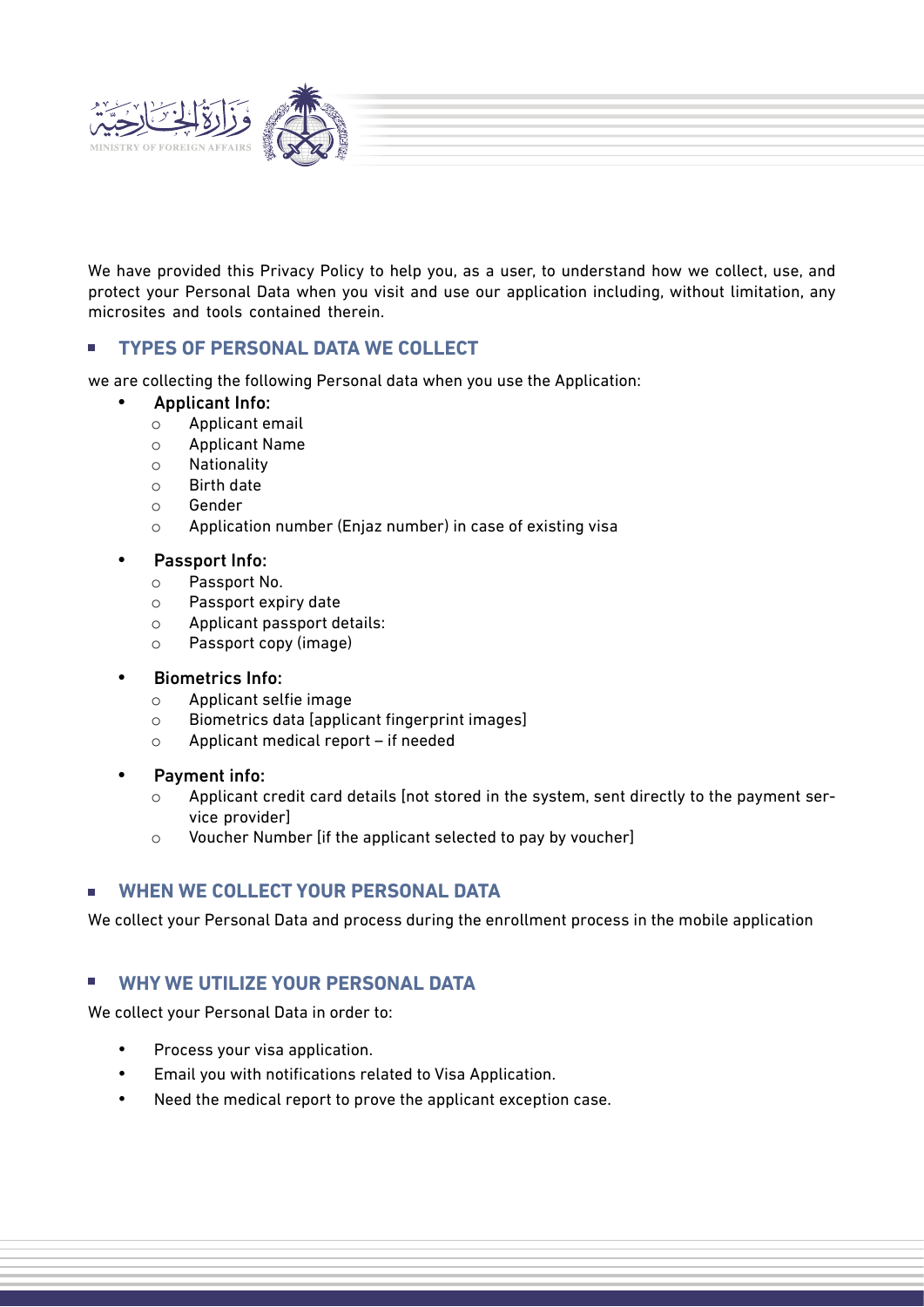

We have provided this Privacy Policy to help you, as a user, to understand how we collect, use, and protect your Personal Data when you visit and use our application including, without limitation, any microsites and tools contained therein.

# **TYPES OF PERSONAL DATA WE COLLECT**

we are collecting the following Personal data when you use the Application:

#### · Applicant Info:

- o Applicant email
- o Applicant Name
- o Nationality
- o Birth date
- o Gender
- o Application number (Enjaz number) in case of existing visa

#### Passport Info:

- o Passport No.
- o Passport expiry date
- o Applicant passport details:
- o Passport copy (image)

#### **Biometrics Info:**

- o Applicant selfie image
- o Biometrics data [applicant fingerprint images]
- o Applicant medical report if needed

#### Payment info:

- $\circ$  Applicant credit card details [not stored in the system, sent directly to the payment service provider]
- o Voucher Number [if the applicant selected to pay by voucher]

# **WHEN WE COLLECT YOUR PERSONAL DATA**

We collect your Personal Data and process during the enrollment process in the mobile application

# **WHY WE UTILIZE YOUR PERSONAL DATA**

We collect your Personal Data in order to:

- Process your visa application.
- Email you with notifications related to Visa Application.
- Need the medical report to prove the applicant exception case.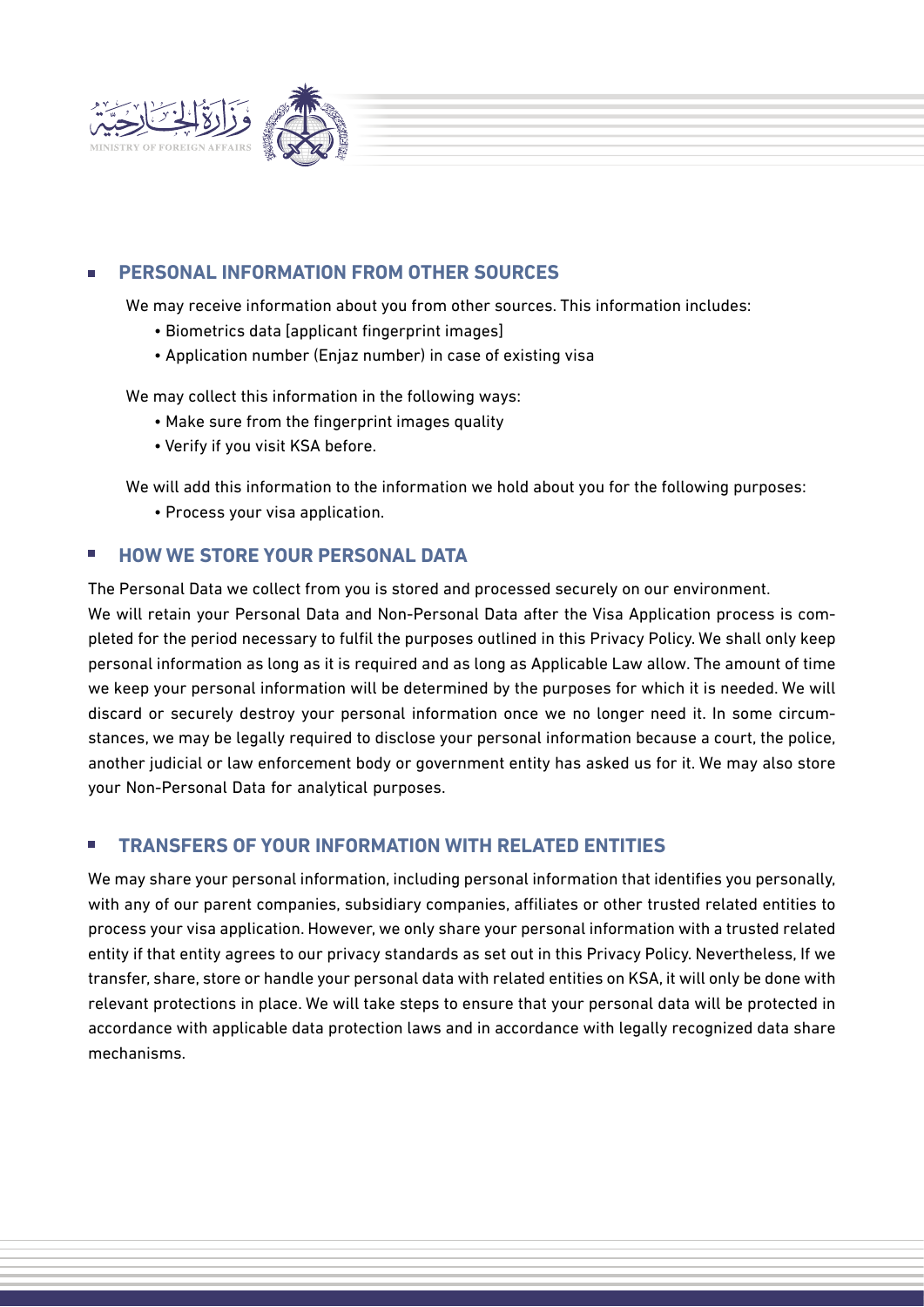

# **PERSONAL INFORMATION FROM OTHER SOURCES**

We may receive information about you from other sources. This information includes:

- Biometrics data [applicant fingerprint images]
- Application number (Enjaz number) in case of existing visa

We may collect this information in the following ways:

- Make sure from the fingerprint images quality
- Verify if you visit KSA before.

We will add this information to the information we hold about you for the following purposes:

• Process your visa application.

# **HOW WE STORE YOUR PERSONAL DATA**

The Personal Data we collect from you is stored and processed securely on our environment. We will retain your Personal Data and Non-Personal Data after the Visa Application process is completed for the period necessary to fulfil the purposes outlined in this Privacy Policy. We shall only keep personal information as long as it is required and as long as Applicable Law allow. The amount of time we keep your personal information will be determined by the purposes for which it is needed. We will discard or securely destroy your personal information once we no longer need it. In some circumstances, we may be legally required to disclose your personal information because a court, the police, another judicial or law enforcement body or government entity has asked us for it. We may also store your Non-Personal Data for analytical purposes.

# **TRANSFERS OF YOUR INFORMATION WITH RELATED ENTITIES**

We may share your personal information, including personal information that identifies you personally, with any of our parent companies, subsidiary companies, affiliates or other trusted related entities to process your visa application. However, we only share your personal information with a trusted related entity if that entity agrees to our privacy standards as set out in this Privacy Policy. Nevertheless, If we transfer, share, store or handle your personal data with related entities on KSA, it will only be done with relevant protections in place. We will take steps to ensure that your personal data will be protected in accordance with applicable data protection laws and in accordance with legally recognized data share mechanisms.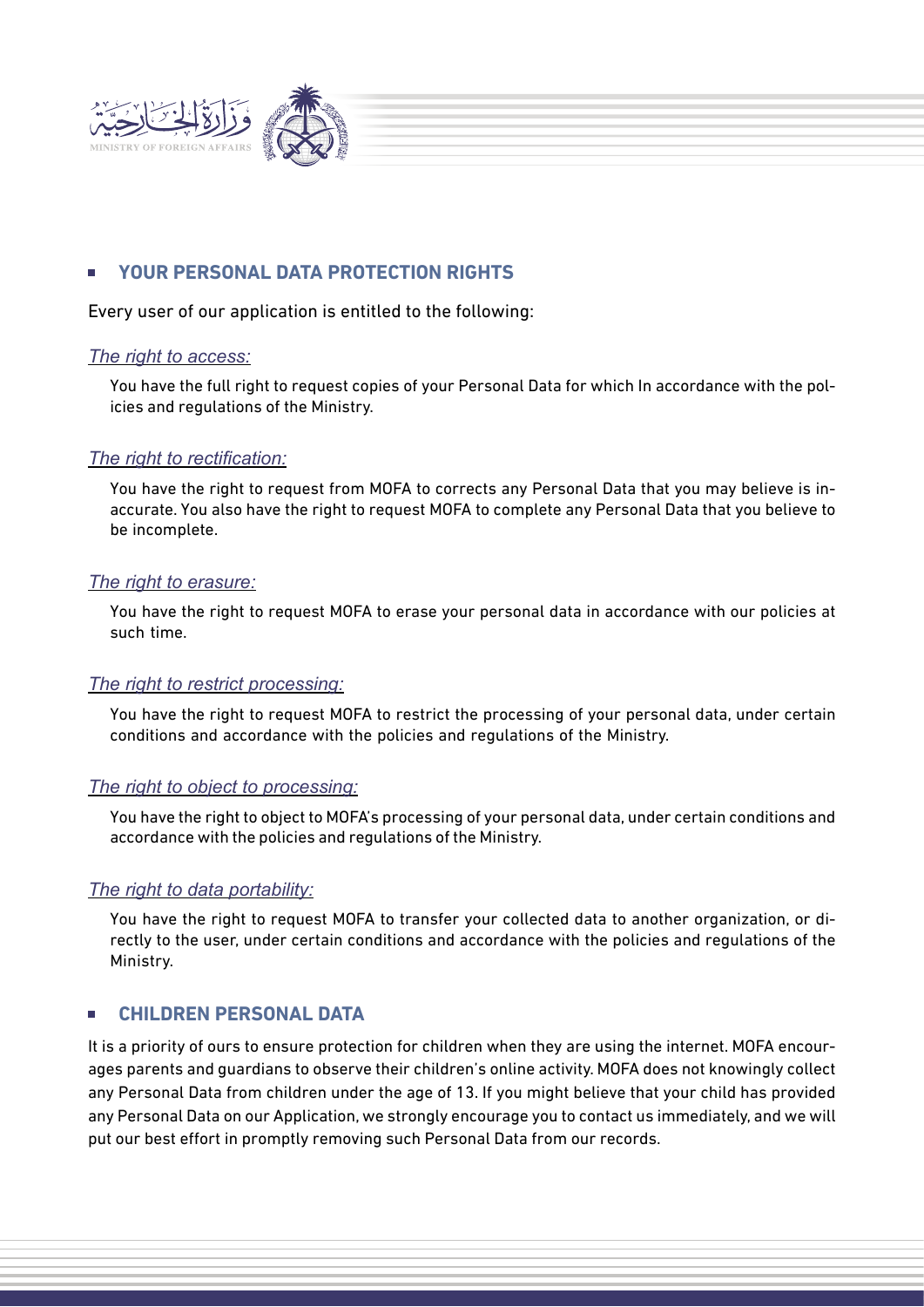

# **YOUR PERSONAL DATA PROTECTION RIGHTS**

Every user of our application is entitled to the following:

#### *The right to access:*

You have the full right to request copies of your Personal Data for which In accordance with the policies and regulations of the Ministry.

#### *The right to rectification:*

You have the right to request from MOFA to corrects any Personal Data that you may believe is inaccurate. You also have the right to request MOFA to complete any Personal Data that you believe to be incomplete.

#### *The right to erasure:*

You have the right to request MOFA to erase your personal data in accordance with our policies at such time.

#### *The right to restrict processing:*

You have the right to request MOFA to restrict the processing of your personal data, under certain conditions and accordance with the policies and regulations of the Ministry.

#### *The right to object to processing:*

You have the right to object to MOFA's processing of your personal data, under certain conditions and accordance with the policies and regulations of the Ministry.

#### *The right to data portability:*

You have the right to request MOFA to transfer your collected data to another organization, or directly to the user, under certain conditions and accordance with the policies and regulations of the Ministry.

# **CHILDREN PERSONAL DATA**

It is a priority of ours to ensure protection for children when they are using the internet. MOFA encourages parents and guardians to observe their children's online activity. MOFA does not knowingly collect any Personal Data from children under the age of 13. If you might believe that your child has provided any Personal Data on our Application, we strongly encourage you to contact us immediately, and we will put our best effort in promptly removing such Personal Data from our records.